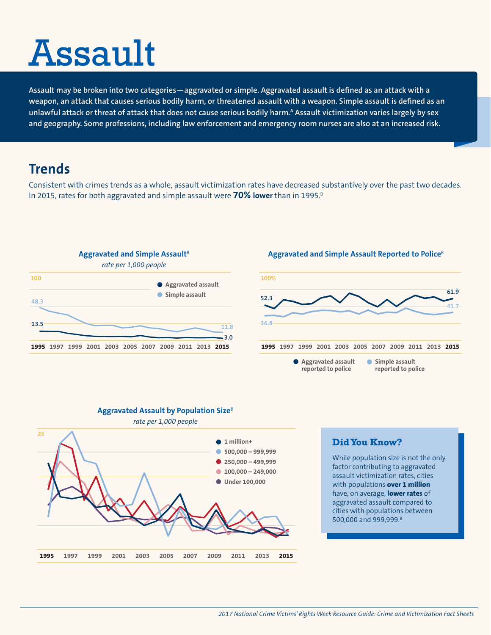# Assault

**Assault may be broken into two categories—aggravated or simple. [Aggravated assault](http://www.bjs.gov/index.cfm?ty=tp&tid=31#terms_def) is defined as an attack with a weapon, an attack that causes serious bodily harm, or threatened assault with a weapon. [Simple assault](http://www.bjs.gov/index.cfm?ty=tp&tid=31#terms_def) is defined as an**  unlawful attack or threat of attack that does not cause serious bodily harm.<sup>A</sup> Assault victimization varies largely by sex **and geography. Some professions, including law enforcement and emergency room nurses are also at an increased risk.**

# **Trends**

Consistent with crimes trends as a whole, assault victimization rates have decreased substantively over the past two decades. In 2015, rates for both aggravated and simple assault were **70% lower** than in 1995.<sup>8</sup>



## **Aggravated and Simple Assault Reported to Police**<sup>B</sup>





#### **Aggravated Assault by Population Size**<sup>B</sup>

## **Did You Know?**

While population size is not the only factor contributing to aggravated assault victimization rates, cities with populations **over 1 million** have, on average, **lower rates** of aggravated assault compared to cities with populations between 500,000 and 999,999.<sup>B</sup>